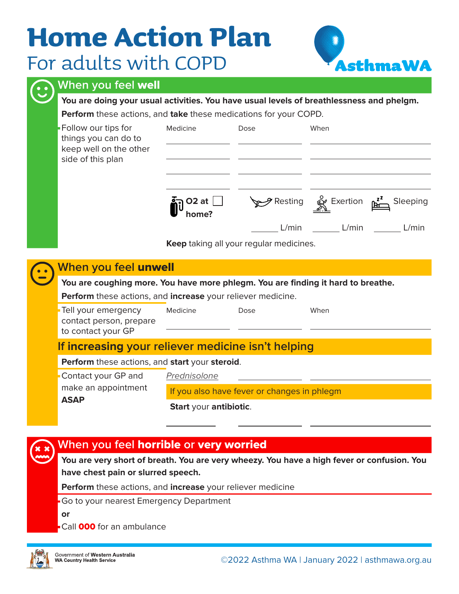# **Home Action Plan** For adults with COPD



#### **When you feel** well

**You are doing your usual activities. You have usual levels of breathlessness and phelgm.**

**Perform** these actions, and **take** these medications for your COPD.

|  | <b>Follow our tips for</b><br>things you can do to<br>keep well on the other<br>side of this plan | Medicine<br>$O2$ at<br>home?                | Dose                                             | When<br>$\gamma$ Resting $\overset{\circ}{\mathbb{R}}$ Exertion $\overset{\mathbf{z}^2}{\mathbb{R}}$<br>Sleeping |  |  |  |  |
|--|---------------------------------------------------------------------------------------------------|---------------------------------------------|--------------------------------------------------|------------------------------------------------------------------------------------------------------------------|--|--|--|--|
|  |                                                                                                   |                                             | L/min<br>Keep taking all your regular medicines. | L/min<br>L/min                                                                                                   |  |  |  |  |
|  | When you feel unwell                                                                              |                                             |                                                  |                                                                                                                  |  |  |  |  |
|  | You are coughing more. You have more phlegm. You are finding it hard to breathe.                  |                                             |                                                  |                                                                                                                  |  |  |  |  |
|  | Perform these actions, and increase your reliever medicine.                                       |                                             |                                                  |                                                                                                                  |  |  |  |  |
|  | Tell your emergency<br>contact person, prepare<br>to contact your GP                              | Medicine                                    | Dose                                             | When                                                                                                             |  |  |  |  |
|  | If increasing your reliever medicine isn't helping                                                |                                             |                                                  |                                                                                                                  |  |  |  |  |
|  | Perform these actions, and start your steroid.                                                    |                                             |                                                  |                                                                                                                  |  |  |  |  |
|  | Contact your GP and                                                                               | Prednisolone                                |                                                  |                                                                                                                  |  |  |  |  |
|  | make an appointment<br><b>ASAP</b>                                                                | If you also have fever or changes in phlegm |                                                  |                                                                                                                  |  |  |  |  |
|  |                                                                                                   | Start your antibiotic.                      |                                                  |                                                                                                                  |  |  |  |  |

#### **When you feel** horrible **or** very worried

**You are very short of breath. You are very wheezy. You have a high fever or confusion. You have chest pain or slurred speech.** 

**Perform** these actions, and **increase** your reliever medicine

Go to your nearest Emergency Department

**or**

Call **000** for an ambulance